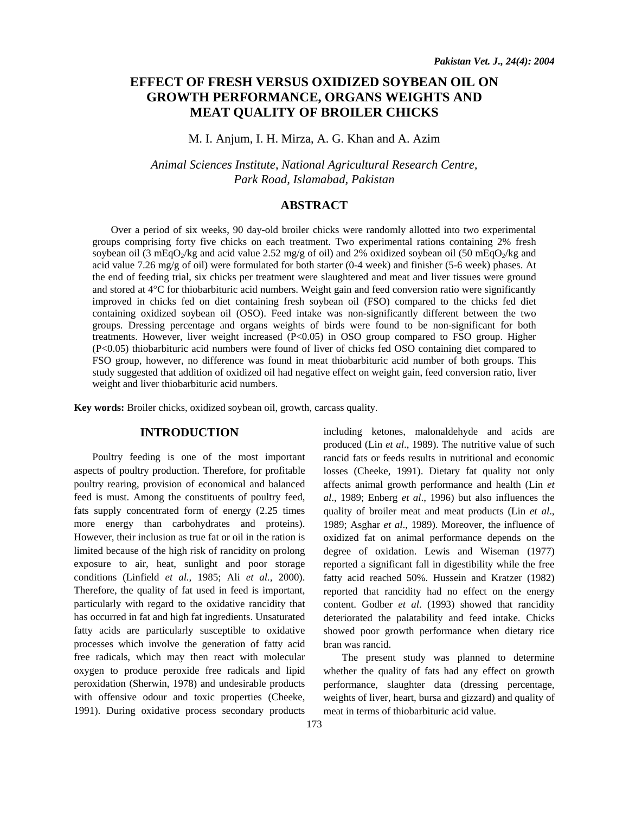# **EFFECT OF FRESH VERSUS OXIDIZED SOYBEAN OIL ON GROWTH PERFORMANCE, ORGANS WEIGHTS AND MEAT QUALITY OF BROILER CHICKS**

M. I. Anjum, I. H. Mirza, A. G. Khan and A. Azim

*Animal Sciences Institute*, *National Agricultural Research Centre, Park Road, Islamabad, Pakistan* 

# **ABSTRACT**

Over a period of six weeks, 90 day-old broiler chicks were randomly allotted into two experimental groups comprising forty five chicks on each treatment. Two experimental rations containing 2% fresh soybean oil (3 mEqO<sub>2</sub>/kg and acid value 2.52 mg/g of oil) and 2% oxidized soybean oil (50 mEqO<sub>2</sub>/kg and acid value 7.26 mg/g of oil) were formulated for both starter (0-4 week) and finisher (5-6 week) phases. At the end of feeding trial, six chicks per treatment were slaughtered and meat and liver tissues were ground and stored at 4°C for thiobarbituric acid numbers. Weight gain and feed conversion ratio were significantly improved in chicks fed on diet containing fresh soybean oil (FSO) compared to the chicks fed diet containing oxidized soybean oil (OSO). Feed intake was non-significantly different between the two groups. Dressing percentage and organs weights of birds were found to be non-significant for both treatments. However, liver weight increased (P<0.05) in OSO group compared to FSO group. Higher (P<0.05) thiobarbituric acid numbers were found of liver of chicks fed OSO containing diet compared to FSO group, however, no difference was found in meat thiobarbituric acid number of both groups. This study suggested that addition of oxidized oil had negative effect on weight gain, feed conversion ratio, liver weight and liver thiobarbituric acid numbers.

**Key words:** Broiler chicks, oxidized soybean oil, growth, carcass quality.

# **INTRODUCTION**

Poultry feeding is one of the most important aspects of poultry production. Therefore, for profitable poultry rearing, provision of economical and balanced feed is must. Among the constituents of poultry feed, fats supply concentrated form of energy (2.25 times more energy than carbohydrates and proteins). However, their inclusion as true fat or oil in the ration is limited because of the high risk of rancidity on prolong exposure to air, heat, sunlight and poor storage conditions (Linfield *et al.,* 1985; Ali *et al.,* 2000). Therefore, the quality of fat used in feed is important, particularly with regard to the oxidative rancidity that has occurred in fat and high fat ingredients. Unsaturated fatty acids are particularly susceptible to oxidative processes which involve the generation of fatty acid free radicals, which may then react with molecular oxygen to produce peroxide free radicals and lipid peroxidation (Sherwin, 1978) and undesirable products with offensive odour and toxic properties (Cheeke, 1991). During oxidative process secondary products

including ketones, malonaldehyde and acids are produced (Lin *et al*., 1989). The nutritive value of such rancid fats or feeds results in nutritional and economic losses (Cheeke, 1991). Dietary fat quality not only affects animal growth performance and health (Lin *et al*., 1989; Enberg *et al*., 1996) but also influences the quality of broiler meat and meat products (Lin *et al*., 1989; Asghar *et al*., 1989). Moreover, the influence of oxidized fat on animal performance depends on the degree of oxidation. Lewis and Wiseman (1977) reported a significant fall in digestibility while the free fatty acid reached 50%. Hussein and Kratzer (1982) reported that rancidity had no effect on the energy content. Godber *et al*. (1993) showed that rancidity deteriorated the palatability and feed intake. Chicks showed poor growth performance when dietary rice bran was rancid.

The present study was planned to determine whether the quality of fats had any effect on growth performance, slaughter data (dressing percentage, weights of liver, heart, bursa and gizzard) and quality of meat in terms of thiobarbituric acid value.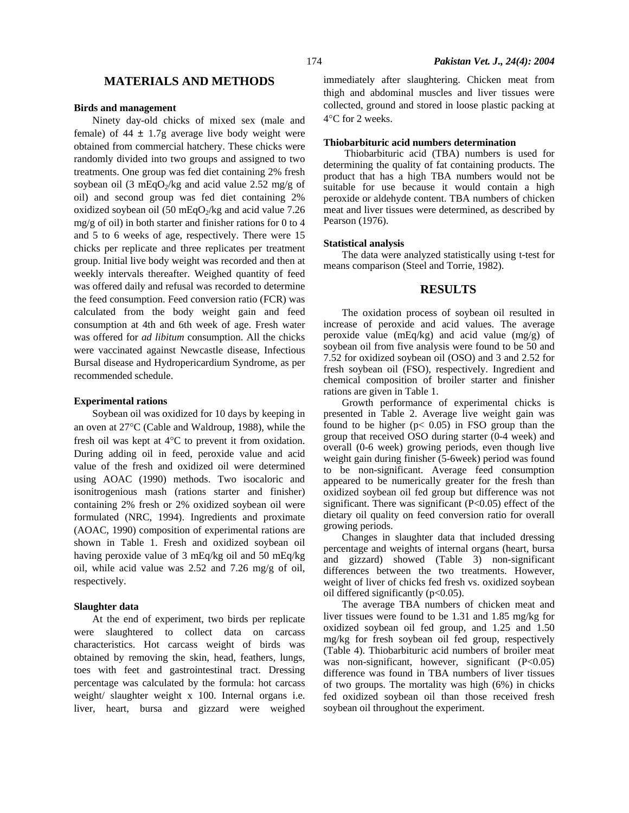## **MATERIALS AND METHODS**

#### **Birds and management**

Ninety day-old chicks of mixed sex (male and female) of  $44 \pm 1.7$ g average live body weight were obtained from commercial hatchery. These chicks were randomly divided into two groups and assigned to two treatments. One group was fed diet containing 2% fresh soybean oil (3 mEqO<sub>2</sub>/kg and acid value 2.52 mg/g of oil) and second group was fed diet containing 2% oxidized soybean oil (50 mEqO $_2$ /kg and acid value 7.26 mg/g of oil) in both starter and finisher rations for 0 to 4 and 5 to 6 weeks of age, respectively. There were 15 chicks per replicate and three replicates per treatment group. Initial live body weight was recorded and then at weekly intervals thereafter. Weighed quantity of feed was offered daily and refusal was recorded to determine the feed consumption. Feed conversion ratio (FCR) was calculated from the body weight gain and feed consumption at 4th and 6th week of age. Fresh water was offered for *ad libitum* consumption. All the chicks were vaccinated against Newcastle disease, Infectious Bursal disease and Hydropericardium Syndrome, as per recommended schedule.

#### **Experimental rations**

Soybean oil was oxidized for 10 days by keeping in an oven at 27°C (Cable and Waldroup, 1988), while the fresh oil was kept at 4°C to prevent it from oxidation. During adding oil in feed, peroxide value and acid value of the fresh and oxidized oil were determined using AOAC (1990) methods. Two isocaloric and isonitrogenious mash (rations starter and finisher) containing 2% fresh or 2% oxidized soybean oil were formulated (NRC, 1994). Ingredients and proximate (AOAC, 1990) composition of experimental rations are shown in Table 1. Fresh and oxidized soybean oil having peroxide value of 3 mEq/kg oil and 50 mEq/kg oil, while acid value was 2.52 and 7.26 mg/g of oil, respectively.

#### **Slaughter data**

At the end of experiment, two birds per replicate were slaughtered to collect data on carcass characteristics. Hot carcass weight of birds was obtained by removing the skin, head, feathers, lungs, toes with feet and gastrointestinal tract. Dressing percentage was calculated by the formula: hot carcass weight/ slaughter weight x 100. Internal organs i.e. liver, heart, bursa and gizzard were weighed immediately after slaughtering. Chicken meat from thigh and abdominal muscles and liver tissues were collected, ground and stored in loose plastic packing at 4°C for 2 weeks.

#### **Thiobarbituric acid numbers determination**

 Thiobarbituric acid (TBA) numbers is used for determining the quality of fat containing products. The product that has a high TBA numbers would not be suitable for use because it would contain a high peroxide or aldehyde content. TBA numbers of chicken meat and liver tissues were determined, as described by Pearson (1976).

#### **Statistical analysis**

The data were analyzed statistically using t-test for means comparison (Steel and Torrie, 1982).

## **RESULTS**

The oxidation process of soybean oil resulted in increase of peroxide and acid values. The average peroxide value (mEq/kg) and acid value (mg/g) of soybean oil from five analysis were found to be 50 and 7.52 for oxidized soybean oil (OSO) and 3 and 2.52 for fresh soybean oil (FSO), respectively. Ingredient and chemical composition of broiler starter and finisher rations are given in Table 1.

Growth performance of experimental chicks is presented in Table 2. Average live weight gain was found to be higher  $(p< 0.05)$  in FSO group than the group that received OSO during starter (0-4 week) and overall (0-6 week) growing periods, even though live weight gain during finisher (5-6week) period was found to be non-significant. Average feed consumption appeared to be numerically greater for the fresh than oxidized soybean oil fed group but difference was not significant. There was significant  $(P<0.05)$  effect of the dietary oil quality on feed conversion ratio for overall growing periods.

Changes in slaughter data that included dressing percentage and weights of internal organs (heart, bursa and gizzard) showed (Table 3) non-significant differences between the two treatments. However, weight of liver of chicks fed fresh vs. oxidized soybean oil differed significantly  $(p<0.05)$ .

The average TBA numbers of chicken meat and liver tissues were found to be 1.31 and 1.85 mg/kg for oxidized soybean oil fed group, and 1.25 and 1.50 mg/kg for fresh soybean oil fed group, respectively (Table 4). Thiobarbituric acid numbers of broiler meat was non-significant, however, significant (P<0.05) difference was found in TBA numbers of liver tissues of two groups. The mortality was high (6%) in chicks fed oxidized soybean oil than those received fresh soybean oil throughout the experiment.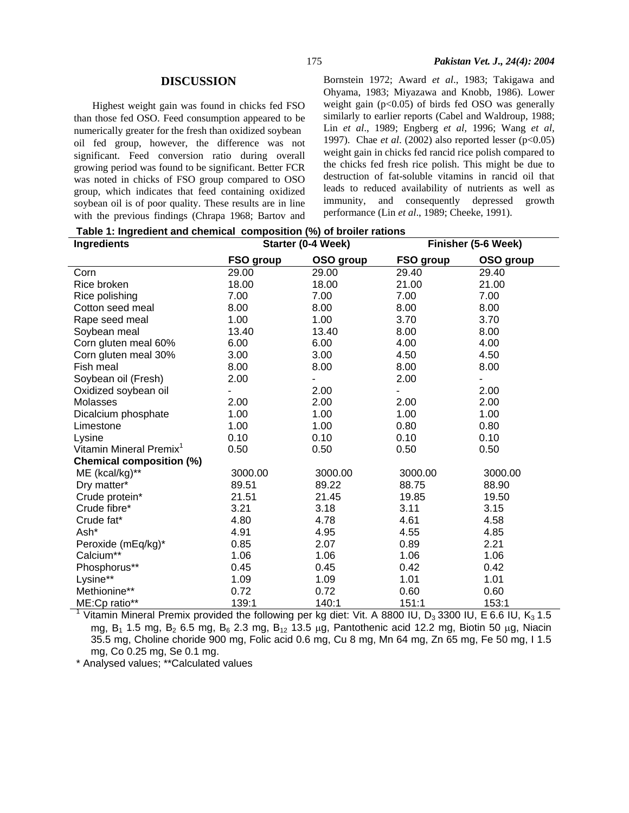### **DISCUSSION**

Highest weight gain was found in chicks fed FSO than those fed OSO. Feed consumption appeared to be numerically greater for the fresh than oxidized soybean oil fed group, however, the difference was not significant. Feed conversion ratio during overall growing period was found to be significant. Better FCR was noted in chicks of FSO group compared to OSO group, which indicates that feed containing oxidized soybean oil is of poor quality. These results are in line with the previous findings (Chrapa 1968; Bartov and Bornstein 1972; Award *et al*., 1983; Takigawa and Ohyama, 1983; Miyazawa and Knobb, 1986). Lower weight gain  $(p<0.05)$  of birds fed OSO was generally similarly to earlier reports (Cabel and Waldroup, 1988; Lin *et al*., 1989; Engberg *et al,* 1996; Wang *et al,* 1997). Chae *et al*. (2002) also reported lesser (p<0.05) weight gain in chicks fed rancid rice polish compared to the chicks fed fresh rice polish. This might be due to destruction of fat-soluble vitamins in rancid oil that leads to reduced availability of nutrients as well as immunity, and consequently depressed growth performance (Lin *et al*., 1989; Cheeke, 1991).

|  | Table 1: Ingredient and chemical composition (%) of broiler rations |  |  |  |
|--|---------------------------------------------------------------------|--|--|--|
|--|---------------------------------------------------------------------|--|--|--|

| Ingredients                         |           | Starter (0-4 Week) |           | Finisher (5-6 Week) |
|-------------------------------------|-----------|--------------------|-----------|---------------------|
|                                     | FSO group | OSO group          | FSO group | OSO group           |
| Corn                                | 29.00     | 29.00              | 29.40     | 29.40               |
| Rice broken                         | 18.00     | 18.00              | 21.00     | 21.00               |
| Rice polishing                      | 7.00      | 7.00               | 7.00      | 7.00                |
| Cotton seed meal                    | 8.00      | 8.00               | 8.00      | 8.00                |
| Rape seed meal                      | 1.00      | 1.00               | 3.70      | 3.70                |
| Soybean meal                        | 13.40     | 13.40              | 8.00      | 8.00                |
| Corn gluten meal 60%                | 6.00      | 6.00               | 4.00      | 4.00                |
| Corn gluten meal 30%                | 3.00      | 3.00               | 4.50      | 4.50                |
| Fish meal                           | 8.00      | 8.00               | 8.00      | 8.00                |
| Soybean oil (Fresh)                 | 2.00      |                    | 2.00      |                     |
| Oxidized soybean oil                |           | 2.00               | Ξ.        | 2.00                |
| Molasses                            | 2.00      | 2.00               | 2.00      | 2.00                |
| Dicalcium phosphate                 | 1.00      | 1.00               | 1.00      | 1.00                |
| Limestone                           | 1.00      | 1.00               | 0.80      | 0.80                |
| Lysine                              | 0.10      | 0.10               | 0.10      | 0.10                |
| Vitamin Mineral Premix <sup>1</sup> | 0.50      | 0.50               | 0.50      | 0.50                |
| Chemical composition (%)            |           |                    |           |                     |
| ME (kcal/kg)**                      | 3000.00   | 3000.00            | 3000.00   | 3000.00             |
| Dry matter*                         | 89.51     | 89.22              | 88.75     | 88.90               |
| Crude protein*                      | 21.51     | 21.45              | 19.85     | 19.50               |
| Crude fibre*                        | 3.21      | 3.18               | 3.11      | 3.15                |
| Crude fat*                          | 4.80      | 4.78               | 4.61      | 4.58                |
| Ash*                                | 4.91      | 4.95               | 4.55      | 4.85                |
| Peroxide (mEq/kg)*                  | 0.85      | 2.07               | 0.89      | 2.21                |
| Calcium**                           | 1.06      | 1.06               | 1.06      | 1.06                |
| Phosphorus**                        | 0.45      | 0.45               | 0.42      | 0.42                |
| Lysine**                            | 1.09      | 1.09               | 1.01      | 1.01                |
| Methionine**                        | 0.72      | 0.72               | 0.60      | 0.60                |
| ME:Cp ratio**                       | 139:1     | 140:1              | 151:1     | 153:1               |

1 Vitamin Mineral Premix provided the following per kg diet: Vit. A 8800 IU,  $D_3$  3300 IU, E 6.6 IU, K<sub>3</sub> 1.5 mg,  $B_1$  1.5 mg,  $B_2$  6.5 mg,  $B_6$  2.3 mg,  $B_{12}$  13.5  $\mu$ g, Pantothenic acid 12.2 mg, Biotin 50  $\mu$ g, Niacin 35.5 mg, Choline choride 900 mg, Folic acid 0.6 mg, Cu 8 mg, Mn 64 mg, Zn 65 mg, Fe 50 mg, I 1.5 mg, Co 0.25 mg, Se 0.1 mg.

\* Analysed values; \*\*Calculated values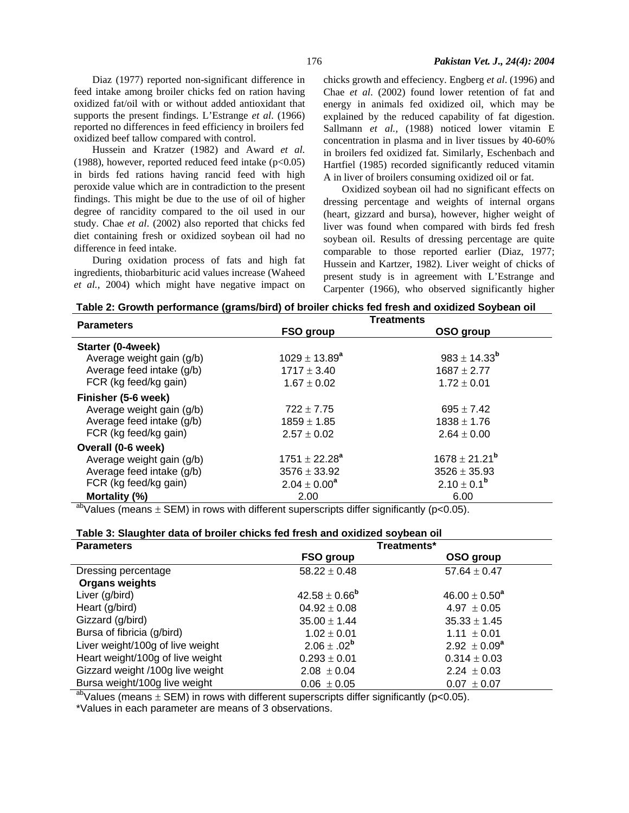Diaz (1977) reported non-significant difference in feed intake among broiler chicks fed on ration having oxidized fat/oil with or without added antioxidant that supports the present findings. L'Estrange *et al*. (1966) reported no differences in feed efficiency in broilers fed oxidized beef tallow compared with control.

Hussein and Kratzer (1982) and Award *et al*. (1988), however, reported reduced feed intake  $(p<0.05)$ in birds fed rations having rancid feed with high peroxide value which are in contradiction to the present findings. This might be due to the use of oil of higher degree of rancidity compared to the oil used in our study. Chae *et al*. (2002) also reported that chicks fed diet containing fresh or oxidized soybean oil had no difference in feed intake.

During oxidation process of fats and high fat ingredients, thiobarbituric acid values increase (Waheed *et al.,* 2004) which might have negative impact on

chicks growth and effeciency. Engberg *et al*. (1996) and Chae *et al*. (2002) found lower retention of fat and energy in animals fed oxidized oil, which may be explained by the reduced capability of fat digestion. Sallmann *et al.,* (1988) noticed lower vitamin E concentration in plasma and in liver tissues by 40-60% in broilers fed oxidized fat. Similarly, Eschenbach and Hartfiel (1985) recorded significantly reduced vitamin A in liver of broilers consuming oxidized oil or fat.

Oxidized soybean oil had no significant effects on dressing percentage and weights of internal organs (heart, gizzard and bursa), however, higher weight of liver was found when compared with birds fed fresh soybean oil. Results of dressing percentage are quite comparable to those reported earlier (Diaz, 1977; Hussein and Kartzer, 1982). Liver weight of chicks of present study is in agreement with L'Estrange and Carpenter (1966), who observed significantly higher

|  | Table 2: Growth performance (grams/bird) of broiler chicks fed fresh and oxidized Soybean oil |  |  |  |  |
|--|-----------------------------------------------------------------------------------------------|--|--|--|--|
|--|-----------------------------------------------------------------------------------------------|--|--|--|--|

| <b>Parameters</b>         |                    | <b>Treatments</b>        |  |
|---------------------------|--------------------|--------------------------|--|
|                           | FSO group          | OSO group                |  |
| Starter (0-4week)         |                    |                          |  |
| Average weight gain (g/b) | $1029 \pm 13.89^a$ | $983 \pm 14.33^b$        |  |
| Average feed intake (g/b) | $1717 \pm 3.40$    | $1687 \pm 2.77$          |  |
| FCR (kg feed/kg gain)     | $1.67 \pm 0.02$    | $1.72 \pm 0.01$          |  |
| Finisher (5-6 week)       |                    |                          |  |
| Average weight gain (g/b) | $722 \pm 7.75$     | $695 \pm 7.42$           |  |
| Average feed intake (g/b) | $1859 \pm 1.85$    | $1838 \pm 1.76$          |  |
| FCR (kg feed/kg gain)     | $2.57 \pm 0.02$    | $2.64 \pm 0.00$          |  |
| Overall (0-6 week)        |                    |                          |  |
| Average weight gain (g/b) | $1751 \pm 22.28^a$ | $1678 \pm 21.21^{\rm b}$ |  |
| Average feed intake (g/b) | $3576 \pm 33.92$   | $3526 \pm 35.93$         |  |
| FCR (kg feed/kg gain)     | $2.04 \pm 0.00^a$  | $2.10 \pm 0.1^{\rm b}$   |  |
| Mortality (%)             | 2.00               | 6.00                     |  |

<sup>ab</sup>Values (means  $\pm$  SEM) in rows with different superscripts differ significantly (p<0.05).

## **Table 3: Slaughter data of broiler chicks fed fresh and oxidized soybean oil**

| <b>Parameters</b>                | Treatments*              |                              |  |  |
|----------------------------------|--------------------------|------------------------------|--|--|
|                                  | FSO group                | OSO group                    |  |  |
| Dressing percentage              | $58.22 \pm 0.48$         | $57.64 \pm 0.47$             |  |  |
| <b>Organs weights</b>            |                          |                              |  |  |
| Liver (g/bird)                   | $42.58 \pm 0.66^{\rm b}$ | $46.00 \pm 0.50^a$           |  |  |
| Heart (g/bird)                   | $04.92 \pm 0.08$         | $4.97 \pm 0.05$              |  |  |
| Gizzard (g/bird)                 | $35.00 \pm 1.44$         | $35.33 \pm 1.45$             |  |  |
| Bursa of fibricia (g/bird)       | $1.02 \pm 0.01$          | 1.11 $\pm$ 0.01              |  |  |
| Liver weight/100g of live weight | $2.06 \pm .02^b$         | 2.92 $\pm$ 0.09 <sup>a</sup> |  |  |
| Heart weight/100g of live weight | $0.293 \pm 0.01$         | $0.314 \pm 0.03$             |  |  |
| Gizzard weight /100g live weight | $2.08 \pm 0.04$          | $2.24 \pm 0.03$              |  |  |
| Bursa weight/100g live weight    | $0.06 \pm 0.05$          | $0.07 \pm 0.07$              |  |  |

<sup>ab</sup>Values (means  $\pm$  SEM) in rows with different superscripts differ significantly (p<0.05).

\*Values in each parameter are means of 3 observations.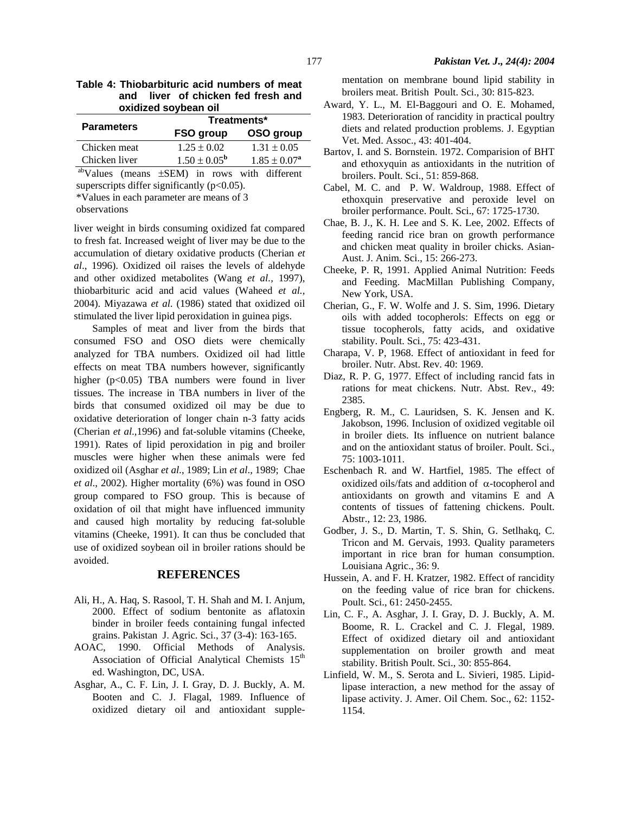| Table 4: Thiobarbituric acid numbers of meat |  |  |  |                                    |  |  |
|----------------------------------------------|--|--|--|------------------------------------|--|--|
|                                              |  |  |  | and liver of chicken fed fresh and |  |  |
| oxidized soybean oil                         |  |  |  |                                    |  |  |
|                                              |  |  |  |                                    |  |  |

| <b>Parameters</b> |                         | Treatments*             |
|-------------------|-------------------------|-------------------------|
|                   | FSO group               | OSO group               |
| Chicken meat      | $1.25 \pm 0.02$         | $1.31 + 0.05$           |
| Chicken liver     | $1.50 \pm 0.05^{\rm b}$ | $1.85 \pm 0.07^{\rm a}$ |

 abValues (means ±SEM) in rows with different superscripts differ significantly  $(p<0.05)$ .

\*Values in each parameter are means of 3

observations

liver weight in birds consuming oxidized fat compared to fresh fat. Increased weight of liver may be due to the accumulation of dietary oxidative products (Cherian *et al*., 1996). Oxidized oil raises the levels of aldehyde and other oxidized metabolites (Wang *et al.,* 1997), thiobarbituric acid and acid values (Waheed *et al.,*  2004). Miyazawa *et al*. (1986) stated that oxidized oil stimulated the liver lipid peroxidation in guinea pigs.

Samples of meat and liver from the birds that consumed FSO and OSO diets were chemically analyzed for TBA numbers. Oxidized oil had little effects on meat TBA numbers however, significantly higher (p<0.05) TBA numbers were found in liver tissues. The increase in TBA numbers in liver of the birds that consumed oxidized oil may be due to oxidative deterioration of longer chain n-3 fatty acids (Cherian *et al*.,1996) and fat-soluble vitamins (Cheeke, 1991). Rates of lipid peroxidation in pig and broiler muscles were higher when these animals were fed oxidized oil (Asghar *et al*., 1989; Lin *et al*., 1989; Chae *et al*., 2002). Higher mortality (6%) was found in OSO group compared to FSO group. This is because of oxidation of oil that might have influenced immunity and caused high mortality by reducing fat-soluble vitamins (Cheeke, 1991). It can thus be concluded that use of oxidized soybean oil in broiler rations should be avoided.

# **REFERENCES**

- Ali, H., A. Haq, S. Rasool, T. H. Shah and M. I. Anjum, 2000. Effect of sodium bentonite as aflatoxin binder in broiler feeds containing fungal infected grains. Pakistan J. Agric. Sci., 37 (3-4): 163-165.
- AOAC, 1990. Official Methods of Analysis. Association of Official Analytical Chemists 15<sup>th</sup> ed. Washington, DC, USA.
- Asghar, A., C. F. Lin, J. I. Gray, D. J. Buckly, A. M. Booten and C. J. Flagal, 1989. Influence of oxidized dietary oil and antioxidant supple-

mentation on membrane bound lipid stability in broilers meat. British Poult. Sci., 30: 815-823.

- Award, Y. L., M. El-Baggouri and O. E. Mohamed, 1983. Deterioration of rancidity in practical poultry diets and related production problems. J. Egyptian Vet. Med. Assoc., 43: 401-404.
- Bartov, I. and S. Bornstein. 1972. Comparision of BHT and ethoxyquin as antioxidants in the nutrition of broilers. Poult. Sci., 51: 859-868.
- Cabel, M. C. and P. W. Waldroup, 1988. Effect of ethoxquin preservative and peroxide level on broiler performance. Poult. Sci., 67: 1725-1730.
- Chae, B. J., K. H. Lee and S. K. Lee, 2002. Effects of feeding rancid rice bran on growth performance and chicken meat quality in broiler chicks. Asian-Aust. J. Anim. Sci., 15: 266-273.
- Cheeke, P. R, 1991. Applied Animal Nutrition: Feeds and Feeding. MacMillan Publishing Company, New York, USA.
- Cherian, G., F. W. Wolfe and J. S. Sim, 1996. Dietary oils with added tocopherols: Effects on egg or tissue tocopherols, fatty acids, and oxidative stability. Poult. Sci., 75: 423-431.
- Charapa, V. P, 1968. Effect of antioxidant in feed for broiler. Nutr. Abst. Rev. 40: 1969.
- Diaz, R. P. G, 1977. Effect of including rancid fats in rations for meat chickens. Nutr. Abst. Rev., 49: 2385.
- Engberg, R. M., C. Lauridsen, S. K. Jensen and K. Jakobson, 1996. Inclusion of oxidized vegitable oil in broiler diets. Its influence on nutrient balance and on the antioxidant status of broiler. Poult. Sci., 75: 1003-1011.
- Eschenbach R. and W. Hartfiel, 1985. The effect of oxidized oils/fats and addition of α-tocopherol and antioxidants on growth and vitamins E and A contents of tissues of fattening chickens. Poult. Abstr., 12: 23, 1986.
- Godber, J. S., D. Martin, T. S. Shin, G. Setlhakq, C. Tricon and M. Gervais, 1993. Quality parameters important in rice bran for human consumption. Louisiana Agric., 36: 9.
- Hussein, A. and F. H. Kratzer, 1982. Effect of rancidity on the feeding value of rice bran for chickens. Poult. Sci., 61: 2450-2455.
- Lin, C. F., A. Asghar, J. I. Gray, D. J. Buckly, A. M. Boome, R. L. Crackel and C. J. Flegal, 1989. Effect of oxidized dietary oil and antioxidant supplementation on broiler growth and meat stability. British Poult. Sci., 30: 855-864.
- Linfield, W. M., S. Serota and L. Sivieri, 1985. Lipidlipase interaction, a new method for the assay of lipase activity. J. Amer. Oil Chem. Soc., 62: 1152- 1154.